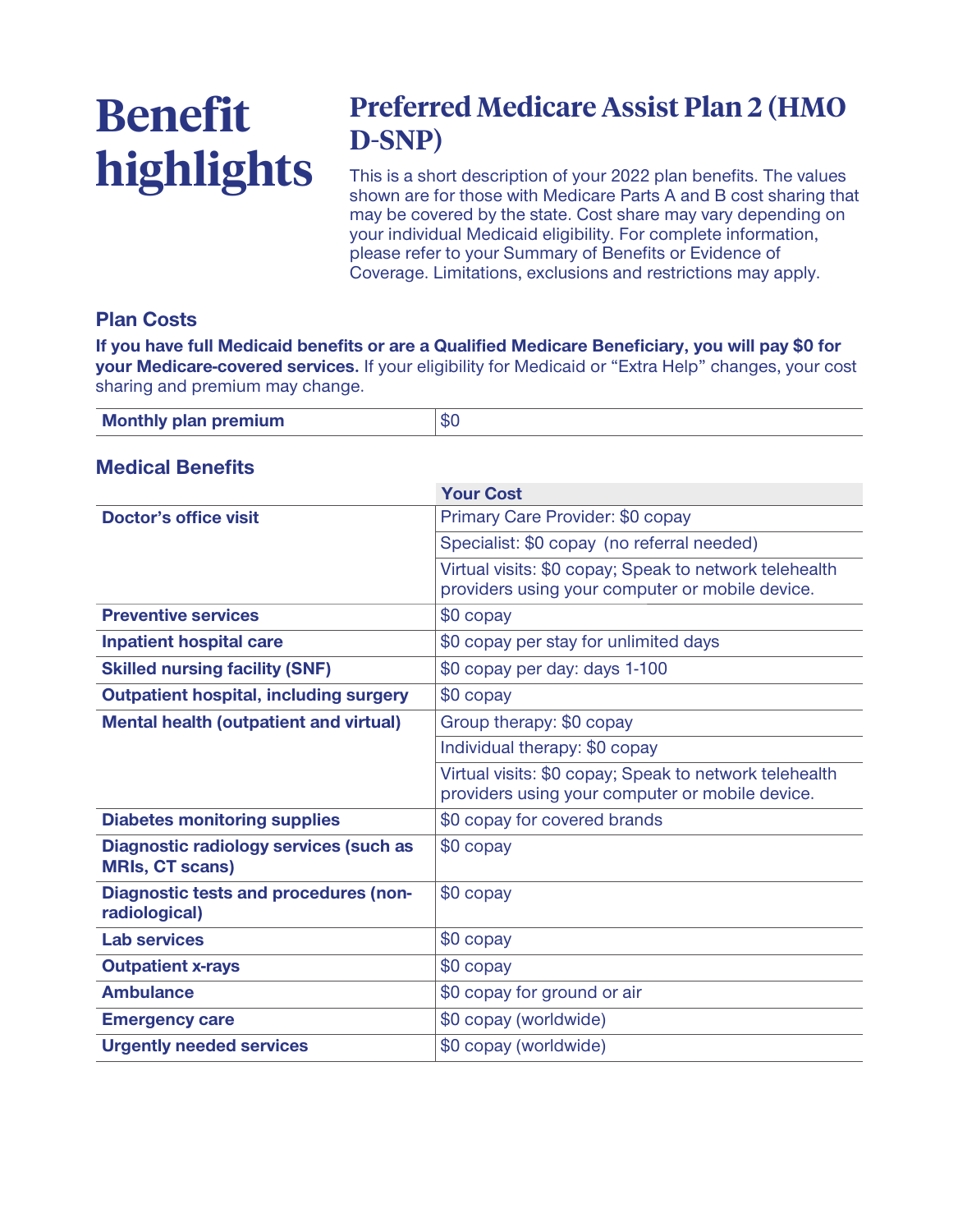# **Benefit highlights**

# **Preferred Medicare Assist Plan 2 (HMO D-SNP)**

**This is a short description of your 2022 plan benefits. The values shown are for those with Medicare Parts A and B cost sharing that may be covered by the state. Cost share may vary depending on your individual Medicaid eligibility. For complete information, please refer to your Summary of Benefits or Evidence of Coverage. Limitations, exclusions and restrictions may apply.**

# **Plan Costs**

**If you have full Medicaid benefits or are a Qualified Medicare Beneficiary, you will pay \$0 for your Medicare-covered services. If your eligibility for Medicaid or "Extra Help" changes, your cost sharing and premium may change.**

| <b>Monthly plan premium</b> | <b>SC</b> |
|-----------------------------|-----------|
|                             |           |

#### **Medical Benefits**

|                                                                  | <b>Your Cost</b>                                                                                          |
|------------------------------------------------------------------|-----------------------------------------------------------------------------------------------------------|
| Doctor's office visit                                            | Primary Care Provider: \$0 copay                                                                          |
|                                                                  | Specialist: \$0 copay (no referral needed)                                                                |
|                                                                  | Virtual visits: \$0 copay; Speak to network telehealth<br>providers using your computer or mobile device. |
| <b>Preventive services</b>                                       | \$0 copay                                                                                                 |
| <b>Inpatient hospital care</b>                                   | \$0 copay per stay for unlimited days                                                                     |
| <b>Skilled nursing facility (SNF)</b>                            | \$0 copay per day: days 1-100                                                                             |
| <b>Outpatient hospital, including surgery</b>                    | \$0 copay                                                                                                 |
| <b>Mental health (outpatient and virtual)</b>                    | Group therapy: \$0 copay                                                                                  |
|                                                                  | Individual therapy: \$0 copay                                                                             |
|                                                                  | Virtual visits: \$0 copay; Speak to network telehealth<br>providers using your computer or mobile device. |
| <b>Diabetes monitoring supplies</b>                              | \$0 copay for covered brands                                                                              |
| Diagnostic radiology services (such as<br><b>MRIs, CT scans)</b> | \$0 copay                                                                                                 |
| <b>Diagnostic tests and procedures (non-</b><br>radiological)    | \$0 copay                                                                                                 |
| <b>Lab services</b>                                              | \$0 copay                                                                                                 |
| <b>Outpatient x-rays</b>                                         | \$0 copay                                                                                                 |
| <b>Ambulance</b>                                                 | \$0 copay for ground or air                                                                               |
| <b>Emergency care</b>                                            | \$0 copay (worldwide)                                                                                     |
| <b>Urgently needed services</b>                                  | \$0 copay (worldwide)                                                                                     |